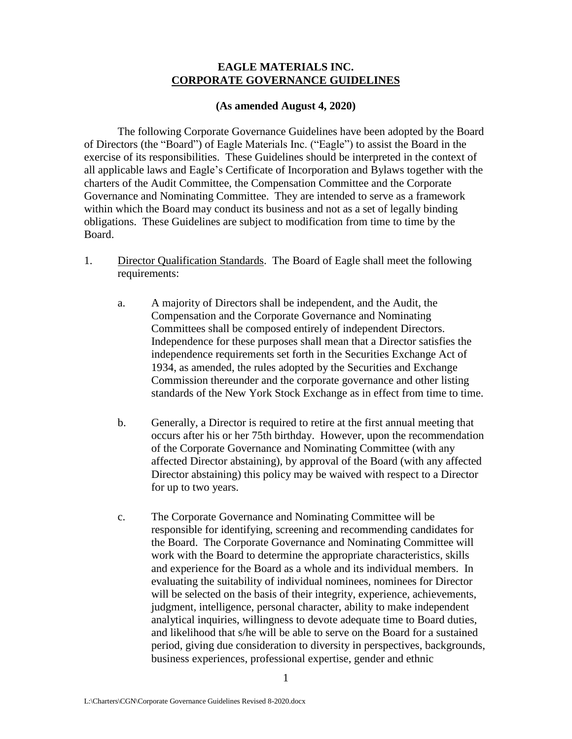## **EAGLE MATERIALS INC. CORPORATE GOVERNANCE GUIDELINES**

## **(As amended August 4, 2020)**

The following Corporate Governance Guidelines have been adopted by the Board of Directors (the "Board") of Eagle Materials Inc. ("Eagle") to assist the Board in the exercise of its responsibilities. These Guidelines should be interpreted in the context of all applicable laws and Eagle's Certificate of Incorporation and Bylaws together with the charters of the Audit Committee, the Compensation Committee and the Corporate Governance and Nominating Committee. They are intended to serve as a framework within which the Board may conduct its business and not as a set of legally binding obligations. These Guidelines are subject to modification from time to time by the Board.

- 1. Director Qualification Standards. The Board of Eagle shall meet the following requirements:
	- a. A majority of Directors shall be independent, and the Audit, the Compensation and the Corporate Governance and Nominating Committees shall be composed entirely of independent Directors. Independence for these purposes shall mean that a Director satisfies the independence requirements set forth in the Securities Exchange Act of 1934, as amended, the rules adopted by the Securities and Exchange Commission thereunder and the corporate governance and other listing standards of the New York Stock Exchange as in effect from time to time.
	- b. Generally, a Director is required to retire at the first annual meeting that occurs after his or her 75th birthday. However, upon the recommendation of the Corporate Governance and Nominating Committee (with any affected Director abstaining), by approval of the Board (with any affected Director abstaining) this policy may be waived with respect to a Director for up to two years.
	- c. The Corporate Governance and Nominating Committee will be responsible for identifying, screening and recommending candidates for the Board. The Corporate Governance and Nominating Committee will work with the Board to determine the appropriate characteristics, skills and experience for the Board as a whole and its individual members. In evaluating the suitability of individual nominees, nominees for Director will be selected on the basis of their integrity, experience, achievements, judgment, intelligence, personal character, ability to make independent analytical inquiries, willingness to devote adequate time to Board duties, and likelihood that s/he will be able to serve on the Board for a sustained period, giving due consideration to diversity in perspectives, backgrounds, business experiences, professional expertise, gender and ethnic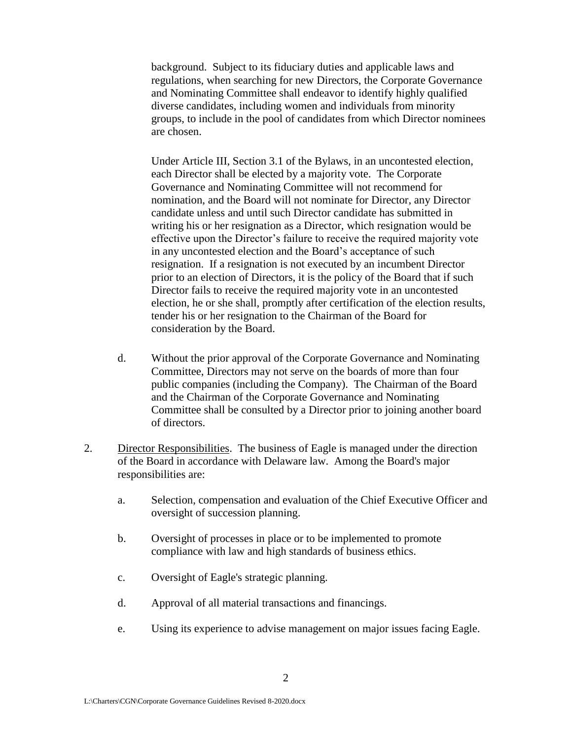background. Subject to its fiduciary duties and applicable laws and regulations, when searching for new Directors, the Corporate Governance and Nominating Committee shall endeavor to identify highly qualified diverse candidates, including women and individuals from minority groups, to include in the pool of candidates from which Director nominees are chosen.

Under Article III, Section 3.1 of the Bylaws, in an uncontested election, each Director shall be elected by a majority vote. The Corporate Governance and Nominating Committee will not recommend for nomination, and the Board will not nominate for Director, any Director candidate unless and until such Director candidate has submitted in writing his or her resignation as a Director, which resignation would be effective upon the Director's failure to receive the required majority vote in any uncontested election and the Board's acceptance of such resignation. If a resignation is not executed by an incumbent Director prior to an election of Directors, it is the policy of the Board that if such Director fails to receive the required majority vote in an uncontested election, he or she shall, promptly after certification of the election results, tender his or her resignation to the Chairman of the Board for consideration by the Board.

- d. Without the prior approval of the Corporate Governance and Nominating Committee, Directors may not serve on the boards of more than four public companies (including the Company). The Chairman of the Board and the Chairman of the Corporate Governance and Nominating Committee shall be consulted by a Director prior to joining another board of directors.
- 2. Director Responsibilities. The business of Eagle is managed under the direction of the Board in accordance with Delaware law. Among the Board's major responsibilities are:
	- a. Selection, compensation and evaluation of the Chief Executive Officer and oversight of succession planning.
	- b. Oversight of processes in place or to be implemented to promote compliance with law and high standards of business ethics.
	- c. Oversight of Eagle's strategic planning.
	- d. Approval of all material transactions and financings.
	- e. Using its experience to advise management on major issues facing Eagle.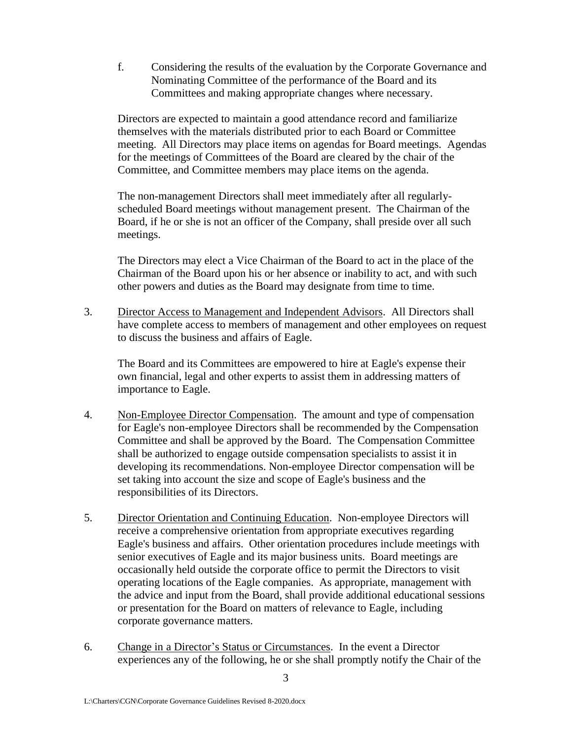f. Considering the results of the evaluation by the Corporate Governance and Nominating Committee of the performance of the Board and its Committees and making appropriate changes where necessary.

Directors are expected to maintain a good attendance record and familiarize themselves with the materials distributed prior to each Board or Committee meeting. All Directors may place items on agendas for Board meetings. Agendas for the meetings of Committees of the Board are cleared by the chair of the Committee, and Committee members may place items on the agenda.

The non-management Directors shall meet immediately after all regularlyscheduled Board meetings without management present. The Chairman of the Board, if he or she is not an officer of the Company, shall preside over all such meetings.

The Directors may elect a Vice Chairman of the Board to act in the place of the Chairman of the Board upon his or her absence or inability to act, and with such other powers and duties as the Board may designate from time to time.

3. Director Access to Management and Independent Advisors. All Directors shall have complete access to members of management and other employees on request to discuss the business and affairs of Eagle.

The Board and its Committees are empowered to hire at Eagle's expense their own financial, legal and other experts to assist them in addressing matters of importance to Eagle.

- 4. Non-Employee Director Compensation. The amount and type of compensation for Eagle's non-employee Directors shall be recommended by the Compensation Committee and shall be approved by the Board. The Compensation Committee shall be authorized to engage outside compensation specialists to assist it in developing its recommendations. Non-employee Director compensation will be set taking into account the size and scope of Eagle's business and the responsibilities of its Directors.
- 5. Director Orientation and Continuing Education. Non-employee Directors will receive a comprehensive orientation from appropriate executives regarding Eagle's business and affairs. Other orientation procedures include meetings with senior executives of Eagle and its major business units. Board meetings are occasionally held outside the corporate office to permit the Directors to visit operating locations of the Eagle companies. As appropriate, management with the advice and input from the Board, shall provide additional educational sessions or presentation for the Board on matters of relevance to Eagle, including corporate governance matters.
- 6. Change in a Director's Status or Circumstances. In the event a Director experiences any of the following, he or she shall promptly notify the Chair of the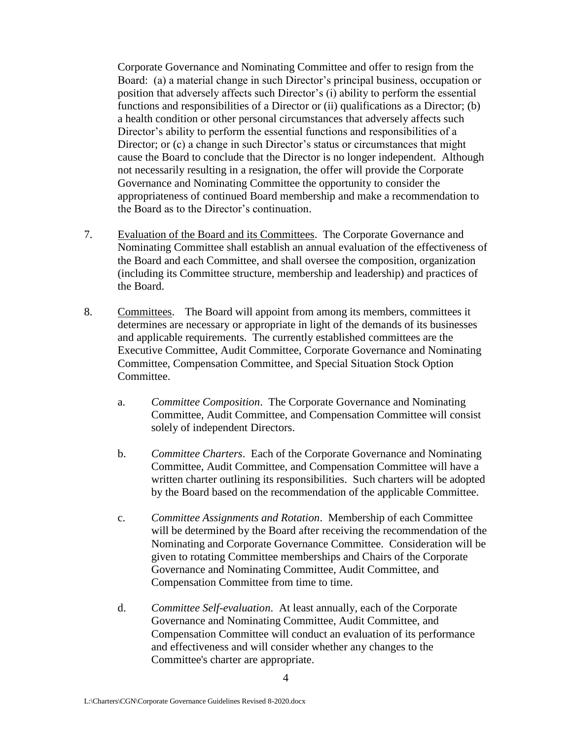Corporate Governance and Nominating Committee and offer to resign from the Board: (a) a material change in such Director's principal business, occupation or position that adversely affects such Director's (i) ability to perform the essential functions and responsibilities of a Director or (ii) qualifications as a Director; (b) a health condition or other personal circumstances that adversely affects such Director's ability to perform the essential functions and responsibilities of a Director; or (c) a change in such Director's status or circumstances that might cause the Board to conclude that the Director is no longer independent. Although not necessarily resulting in a resignation, the offer will provide the Corporate Governance and Nominating Committee the opportunity to consider the appropriateness of continued Board membership and make a recommendation to the Board as to the Director's continuation.

- 7. Evaluation of the Board and its Committees. The Corporate Governance and Nominating Committee shall establish an annual evaluation of the effectiveness of the Board and each Committee, and shall oversee the composition, organization (including its Committee structure, membership and leadership) and practices of the Board.
- 8. Committees. The Board will appoint from among its members, committees it determines are necessary or appropriate in light of the demands of its businesses and applicable requirements. The currently established committees are the Executive Committee, Audit Committee, Corporate Governance and Nominating Committee, Compensation Committee, and Special Situation Stock Option Committee.
	- a. *Committee Composition*. The Corporate Governance and Nominating Committee, Audit Committee, and Compensation Committee will consist solely of independent Directors.
	- b. *Committee Charters*. Each of the Corporate Governance and Nominating Committee, Audit Committee, and Compensation Committee will have a written charter outlining its responsibilities. Such charters will be adopted by the Board based on the recommendation of the applicable Committee.
	- c. *Committee Assignments and Rotation*. Membership of each Committee will be determined by the Board after receiving the recommendation of the Nominating and Corporate Governance Committee. Consideration will be given to rotating Committee memberships and Chairs of the Corporate Governance and Nominating Committee, Audit Committee, and Compensation Committee from time to time.
	- d. *Committee Self-evaluation*. At least annually, each of the Corporate Governance and Nominating Committee, Audit Committee, and Compensation Committee will conduct an evaluation of its performance and effectiveness and will consider whether any changes to the Committee's charter are appropriate.